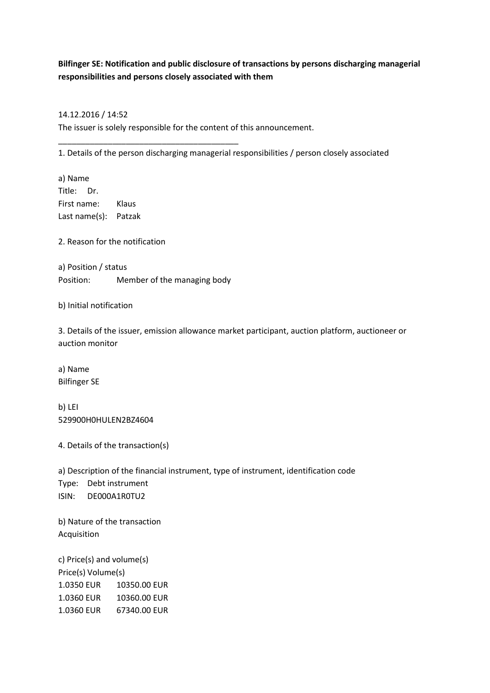## **Bilfinger SE: Notification and public disclosure of transactions by persons discharging managerial responsibilities and persons closely associated with them**

## 14.12.2016 / 14:52

The issuer is solely responsible for the content of this announcement.

1. Details of the person discharging managerial responsibilities / person closely associated

a) Name Title: Dr. First name: Klaus Last name(s): Patzak

2. Reason for the notification

a) Position / status Position: Member of the managing body

\_\_\_\_\_\_\_\_\_\_\_\_\_\_\_\_\_\_\_\_\_\_\_\_\_\_\_\_\_\_\_\_\_\_\_\_\_\_\_\_

b) Initial notification

3. Details of the issuer, emission allowance market participant, auction platform, auctioneer or auction monitor

a) Name Bilfinger SE

b) LEI 529900H0HULEN2BZ4604

4. Details of the transaction(s)

a) Description of the financial instrument, type of instrument, identification code Type: Debt instrument ISIN: DE000A1R0TU2

b) Nature of the transaction Acquisition

c) Price(s) and volume(s) Price(s) Volume(s) 1.0350 EUR 10350.00 EUR 1.0360 EUR 10360.00 EUR 1.0360 EUR 67340.00 EUR